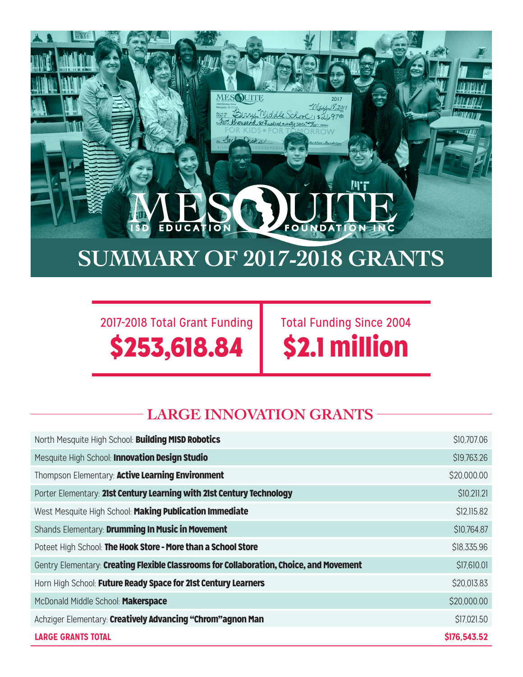## **SUMMARY OF 2017-2018 GRANTS**

**MES**OUITE

rry Middle School, \$24

wusand six hundred ninety sava

2017-2018 Total Grant Funding \$253,618.84

EDUCA

ON

Total Funding Since 2004 \$2.1 million

**IN'T** 

IONTN

**OUNDAT** 

## **LARGE INNOVATION GRANTS**

| North Mesquite High School: Building MISD Robotics                                      | \$10,707.06  |
|-----------------------------------------------------------------------------------------|--------------|
| Mesquite High School: Innovation Design Studio                                          | \$19,763.26  |
| Thompson Elementary: Active Learning Environment                                        | \$20,000.00  |
| Porter Elementary: 21st Century Learning with 21st Century Technology                   | \$10,211.21  |
| West Mesquite High School: Making Publication Immediate                                 | \$12,115.82  |
| Shands Elementary: Drumming In Music in Movement                                        | \$10,764.87  |
| Poteet High School: The Hook Store - More than a School Store                           | \$18,335.96  |
| Gentry Elementary: Creating Flexible Classrooms for Collaboration, Choice, and Movement | \$17,610.01  |
| Horn High School: Future Ready Space for 21st Century Learners                          | \$20,013.83  |
| McDonald Middle School: Makerspace                                                      | \$20,000.00  |
| Achziger Elementary: Creatively Advancing "Chrom"agnon Man                              | \$17,021.50  |
| <b>LARGE GRANTS TOTAL</b>                                                               | \$176,543.52 |